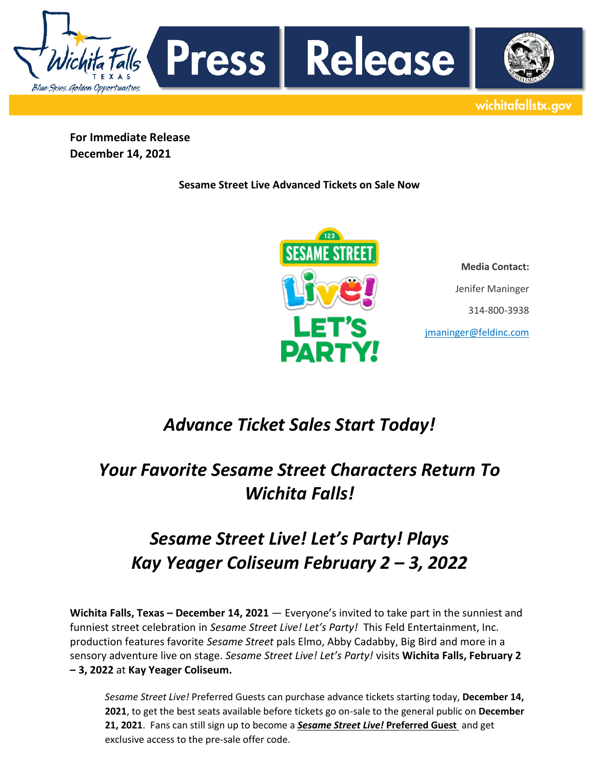**For Immediate Release December 14, 2021**

Blue Skies. Golden Opportunities.

**Press** 

**Sesame Street Live Advanced Tickets on Sale Now**



Release

**Media Contact:** Jenifer Maninger 314-800-3938 jmaninger@feldinc.com

wichitafallstx.gov

### *Advance Ticket Sales Start Today!*

# *Your Favorite Sesame Street Characters Return To Wichita Falls!*

# *Sesame Street Live! Let's Party! Plays Kay Yeager Coliseum February 2 – 3, 2022*

**Wichita Falls, Texas – December 14, 2021** — Everyone's invited to take part in the sunniest and funniest street celebration in *Sesame Street Live! Let's Party!* This Feld Entertainment, Inc. production features favorite *Sesame Street* pals Elmo, Abby Cadabby, Big Bird and more in a sensory adventure live on stage. *Sesame Street Live! Let's Party!* visits **Wichita Falls, February 2 – 3, 2022** at **Kay Yeager Coliseum.** 

*Sesame Street Live!* Preferred Guests can purchase advance tickets starting today, **December 14, 2021**, to get the best seats available before tickets go on-sale to the general public on **December 21, 2021**. Fans can still sign up to become a *[Sesame Street Live!](https://www.sesamestreetlive.com/preferred-customer)* **Preferred Guest** and get exclusive access to the pre-sale offer code.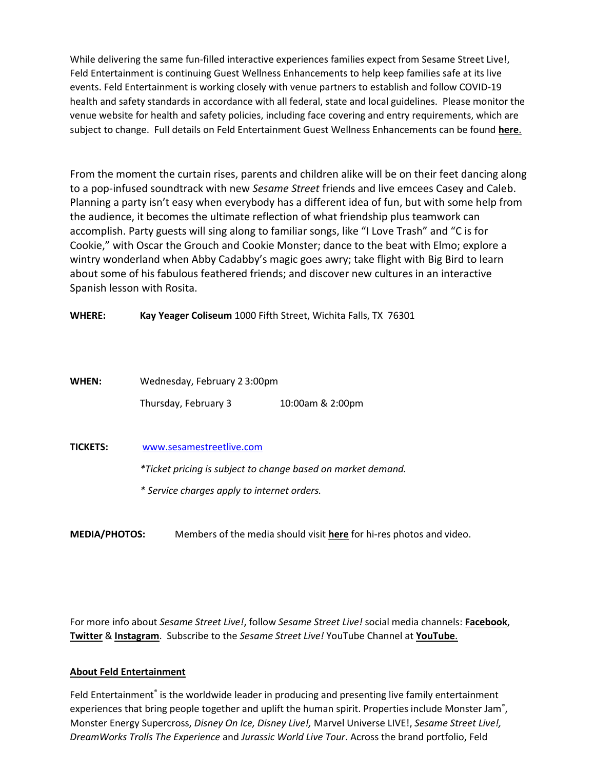While delivering the same fun-filled interactive experiences families expect from Sesame Street Live!, Feld Entertainment is continuing Guest Wellness Enhancements to help keep families safe at its live events. Feld Entertainment is working closely with venue partners to establish and follow COVID-19 health and safety standards in accordance with all federal, state and local guidelines. Please monitor the venue website for health and safety policies, including face covering and entry requirements, which are subject to change. Full details on Feld Entertainment Guest Wellness Enhancements can be found **[here](https://www.sesamestreetlive.com/guest-wellness)**.

From the moment the curtain rises, parents and children alike will be on their feet dancing along to a pop-infused soundtrack with new *Sesame Street* friends and live emcees Casey and Caleb. Planning a party isn't easy when everybody has a different idea of fun, but with some help from the audience, it becomes the ultimate reflection of what friendship plus teamwork can accomplish. Party guests will sing along to familiar songs, like "I Love Trash" and "C is for Cookie," with Oscar the Grouch and Cookie Monster; dance to the beat with Elmo; explore a wintry wonderland when Abby Cadabby's magic goes awry; take flight with Big Bird to learn about some of his fabulous feathered friends; and discover new cultures in an interactive Spanish lesson with Rosita.

| <b>WHERE:</b> | Kay Yeager Coliseum 1000 Fifth Street, Wichita Falls, TX 76301 |
|---------------|----------------------------------------------------------------|
|               |                                                                |

| WHEN: | Wednesday, February 2 3:00pm |                  |
|-------|------------------------------|------------------|
|       | Thursday, February 3         | 10:00am & 2:00pm |

**TICKETS:** [www.sesamestreetlive.com](http://www.sesamestreetlive.com/)

*\*Ticket pricing is subject to change based on market demand.*

*\* Service charges apply to internet orders.*

**MEDIA/PHOTOS:** Members of the media should visit **[here](https://www.dropbox.com/sh/rwtwe0hsokwhq8x/AADjuCy75xRzqR4SLIF3sNFza?dl=0)** for hi-res photos and video.

For more info about *Sesame Street Live!*, follow *Sesame Street Live!* social media channels: **[Facebook](https://www.facebook.com/sesamestreetlive)**, **[Twitter](https://twitter.com/sesamestlive)** & **[Instagram](https://www.instagram.com/sesamestreetlive/)**. Subscribe to the *Sesame Street Live!* YouTube Channel at **[YouTube](https://www.youtube.com/SesameStreetLive)**.

#### **About Feld Entertainment**

Feld Entertainment® is the worldwide leader in producing and presenting live family entertainment experiences that bring people together and uplift the human spirit. Properties include Monster Jam<sup>®</sup>, Monster Energy Supercross, *Disney On Ice, Disney Live!,* Marvel Universe LIVE!, *Sesame Street Live!, DreamWorks Trolls The Experience* and *Jurassic World Live Tour*. Across the brand portfolio, Feld